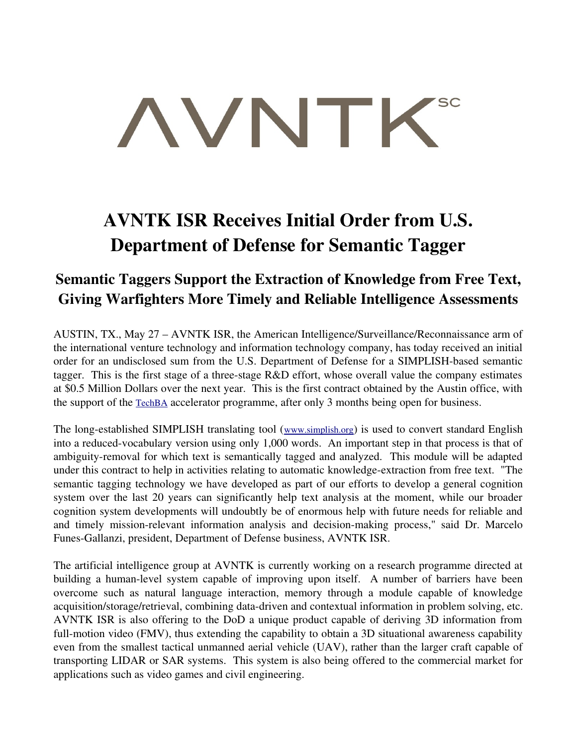# **SC YVNTK**

## AVNTK ISR Receives Initial Order from U.S. Department of Defense for Semantic Tagger

## Semantic Taggers Support the Extraction of Knowledge from Free Text, Giving Warfighters More Timely and Reliable Intelligence Assessments

AUSTIN, TX., May 27 – AVNTK ISR, the American Intelligence/Surveillance/Reconnaissance arm of the international venture technology and information technology company, has today received an initial order for an undisclosed sum from the U.S. Department of Defense for a SIMPLISH-based semantic tagger. This is the first stage of a three-stage  $R&D$  effort, whose overall value the company estimates at \$0.5 Million Dollars over the next year. This is the first contract obtained by the Austin office, with the support of the [TechBA](http://www.techba.com/portal/eng/) accelerator programme, after only 3 months being open for business.

The long-established SIMPLISH translating tool ([www.simplish.org](http://www.simplish.org/)) is used to convert standard English into a reduced-vocabulary version using only 1,000 words. An important step in that process is that of ambiguity-removal for which text is semantically tagged and analyzed. This module will be adapted under this contract to help in activities relating to automatic knowledge-extraction from free text. "The semantic tagging technology we have developed as part of our efforts to develop a general cognition system over the last 20 years can significantly help text analysis at the moment, while our broader cognition system developments will undoubtly be of enormous help with future needs for reliable and and timely mission-relevant information analysis and decision-making process," said Dr. Marcelo Funes-Gallanzi, president, Department of Defense business, AVNTK ISR.

The artificial intelligence group at AVNTK is currently working on a research programme directed at building a human-level system capable of improving upon itself. A number of barriers have been overcome such as natural language interaction, memory through a module capable of knowledge acquisition/storage/retrieval, combining data-driven and contextual information in problem solving, etc. AVNTK ISR is also offering to the DoD a unique product capable of deriving 3D information from full-motion video (FMV), thus extending the capability to obtain a 3D situational awareness capability even from the smallest tactical unmanned aerial vehicle (UAV), rather than the larger craft capable of transporting LIDAR or SAR systems. This system is also being offered to the commercial market for applications such as video games and civil engineering.